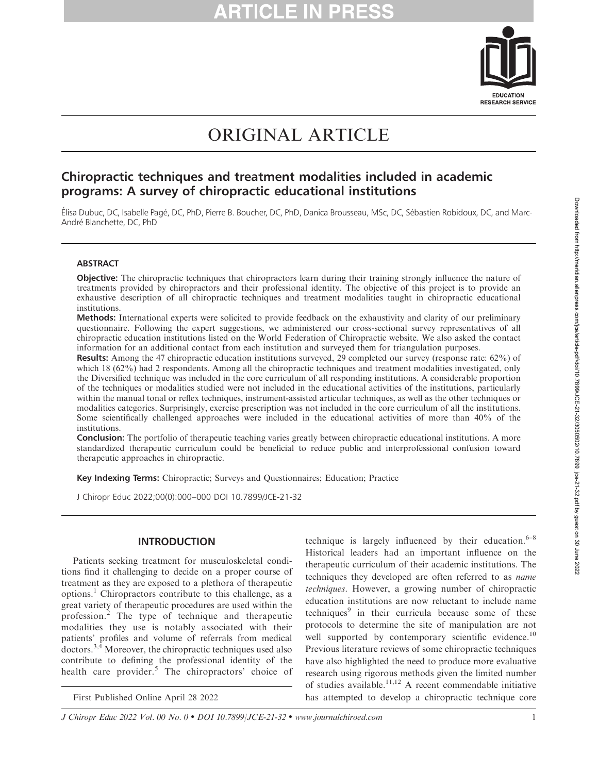

# ORIGINAL ARTICLE

## Chiropractic techniques and treatment modalities included in academic programs: A survey of chiropractic educational institutions

Élisa Dubuc, DC, Isabelle Pagé, DC, PhD, Pierre B. Boucher, DC, PhD, Danica Brousseau, MSc, DC, Sébastien Robidoux, DC, and Marc-André Blanchette, DC, PhD

### **ABSTRACT**

Objective: The chiropractic techniques that chiropractors learn during their training strongly influence the nature of treatments provided by chiropractors and their professional identity. The objective of this project is to provide an exhaustive description of all chiropractic techniques and treatment modalities taught in chiropractic educational institutions.

Methods: International experts were solicited to provide feedback on the exhaustivity and clarity of our preliminary questionnaire. Following the expert suggestions, we administered our cross-sectional survey representatives of all chiropractic education institutions listed on the World Federation of Chiropractic website. We also asked the contact information for an additional contact from each institution and surveyed them for triangulation purposes.

Results: Among the 47 chiropractic education institutions surveyed, 29 completed our survey (response rate: 62%) of which 18 (62%) had 2 respondents. Among all the chiropractic techniques and treatment modalities investigated, only the Diversified technique was included in the core curriculum of all responding institutions. A considerable proportion of the techniques or modalities studied were not included in the educational activities of the institutions, particularly within the manual tonal or reflex techniques, instrument-assisted articular techniques, as well as the other techniques or modalities categories. Surprisingly, exercise prescription was not included in the core curriculum of all the institutions. Some scientifically challenged approaches were included in the educational activities of more than 40% of the institutions.

**Conclusion:** The portfolio of therapeutic teaching varies greatly between chiropractic educational institutions. A more standardized therapeutic curriculum could be beneficial to reduce public and interprofessional confusion toward therapeutic approaches in chiropractic.

Key Indexing Terms: Chiropractic; Surveys and Questionnaires; Education; Practice

J Chiropr Educ 2022;00(0):000–000 DOI 10.7899/JCE-21-32

### INTRODUCTION

Patients seeking treatment for musculoskeletal conditions find it challenging to decide on a proper course of treatment as they are exposed to a plethora of therapeutic options.<sup>1</sup> Chiropractors contribute to this challenge, as a great variety of therapeutic procedures are used within the profession.<sup>2</sup> The type of technique and therapeutic modalities they use is notably associated with their patients' profiles and volume of referrals from medical doctors. $3,4$  Moreover, the chiropractic techniques used also contribute to defining the professional identity of the health care provider.<sup>5</sup> The chiropractors' choice of

technique is largely influenced by their education. $6-8$ Historical leaders had an important influence on the therapeutic curriculum of their academic institutions. The techniques they developed are often referred to as name techniques. However, a growing number of chiropractic education institutions are now reluctant to include name techniques<sup>9</sup> in their curricula because some of these protocols to determine the site of manipulation are not well supported by contemporary scientific evidence.<sup>10</sup> Previous literature reviews of some chiropractic techniques have also highlighted the need to produce more evaluative research using rigorous methods given the limited number of studies available.<sup>11,12</sup> A recent commendable initiative First Published Online April 28 2022 has attempted to develop a chiropractic technique core

J Chiropr Educ 2022 Vol. 00 No. 0 • DOI 10.7899/JCE-21-32 • www.journalchiroed.com 1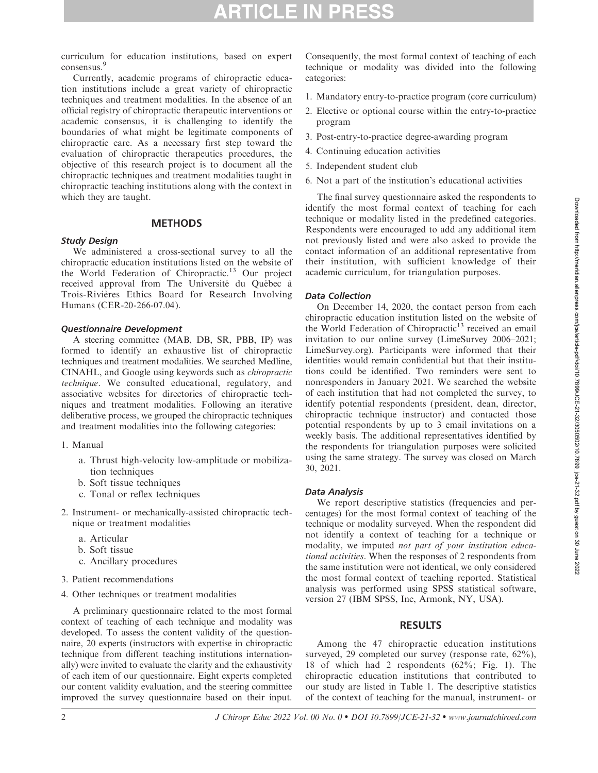# **RTICLE IN PRE**

curriculum for education institutions, based on expert consensus.<sup>9</sup>

Currently, academic programs of chiropractic education institutions include a great variety of chiropractic techniques and treatment modalities. In the absence of an official registry of chiropractic therapeutic interventions or academic consensus, it is challenging to identify the boundaries of what might be legitimate components of chiropractic care. As a necessary first step toward the evaluation of chiropractic therapeutics procedures, the objective of this research project is to document all the chiropractic techniques and treatment modalities taught in chiropractic teaching institutions along with the context in which they are taught.

### **METHODS**

### Study Design

We administered a cross-sectional survey to all the chiropractic education institutions listed on the website of the World Federation of Chiropractic.<sup>13</sup> Our project received approval from The Université du Québec à Trois-Rivières Ethics Board for Research Involving Humans (CER-20-266-07.04).

### Questionnaire Development

A steering committee (MAB, DB, SR, PBB, IP) was formed to identify an exhaustive list of chiropractic techniques and treatment modalities. We searched Medline, CINAHL, and Google using keywords such as chiropractic technique. We consulted educational, regulatory, and associative websites for directories of chiropractic techniques and treatment modalities. Following an iterative deliberative process, we grouped the chiropractic techniques and treatment modalities into the following categories:

### 1. Manual

- a. Thrust high-velocity low-amplitude or mobilization techniques
- b. Soft tissue techniques
- c. Tonal or reflex techniques
- 2. Instrument- or mechanically-assisted chiropractic technique or treatment modalities
	- a. Articular
	- b. Soft tissue
	- c. Ancillary procedures
- 3. Patient recommendations
- 4. Other techniques or treatment modalities

A preliminary questionnaire related to the most formal context of teaching of each technique and modality was developed. To assess the content validity of the questionnaire, 20 experts (instructors with expertise in chiropractic technique from different teaching institutions internationally) were invited to evaluate the clarity and the exhaustivity of each item of our questionnaire. Eight experts completed our content validity evaluation, and the steering committee improved the survey questionnaire based on their input.

Consequently, the most formal context of teaching of each technique or modality was divided into the following categories:

- 1. Mandatory entry-to-practice program (core curriculum)
- 2. Elective or optional course within the entry-to-practice program
- 3. Post-entry-to-practice degree-awarding program
- 4. Continuing education activities
- 5. Independent student club
- 6. Not a part of the institution's educational activities

The final survey questionnaire asked the respondents to identify the most formal context of teaching for each technique or modality listed in the predefined categories. Respondents were encouraged to add any additional item not previously listed and were also asked to provide the contact information of an additional representative from their institution, with sufficient knowledge of their academic curriculum, for triangulation purposes.

### Data Collection

On December 14, 2020, the contact person from each chiropractic education institution listed on the website of the World Federation of Chiropractic<sup>13</sup> received an email invitation to our online survey (LimeSurvey 2006–2021; LimeSurvey.org). Participants were informed that their identities would remain confidential but that their institutions could be identified. Two reminders were sent to nonresponders in January 2021. We searched the website of each institution that had not completed the survey, to identify potential respondents (president, dean, director, chiropractic technique instructor) and contacted those potential respondents by up to 3 email invitations on a weekly basis. The additional representatives identified by the respondents for triangulation purposes were solicited using the same strategy. The survey was closed on March 30, 2021.

### Data Analysis

We report descriptive statistics (frequencies and percentages) for the most formal context of teaching of the technique or modality surveyed. When the respondent did not identify a context of teaching for a technique or modality, we imputed not part of your institution educational activities. When the responses of 2 respondents from the same institution were not identical, we only considered the most formal context of teaching reported. Statistical analysis was performed using SPSS statistical software, version 27 (IBM SPSS, Inc, Armonk, NY, USA).

### RESULTS

Among the 47 chiropractic education institutions surveyed, 29 completed our survey (response rate, 62%), 18 of which had 2 respondents (62%; Fig. 1). The chiropractic education institutions that contributed to our study are listed in Table 1. The descriptive statistics of the context of teaching for the manual, instrument- or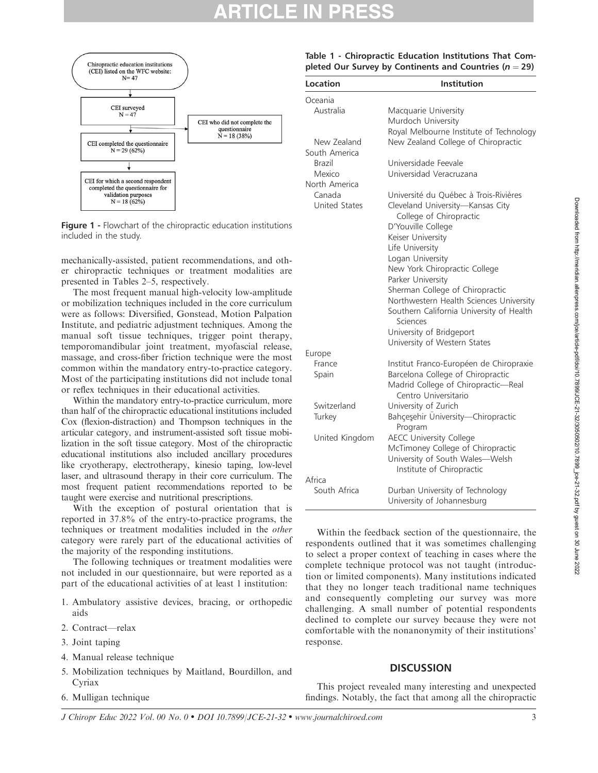

Figure 1 - Flowchart of the chiropractic education institutions included in the study.

mechanically-assisted, patient recommendations, and other chiropractic techniques or treatment modalities are presented in Tables 2–5, respectively.

The most frequent manual high-velocity low-amplitude or mobilization techniques included in the core curriculum were as follows: Diversified, Gonstead, Motion Palpation Institute, and pediatric adjustment techniques. Among the manual soft tissue techniques, trigger point therapy, temporomandibular joint treatment, myofascial release, massage, and cross-fiber friction technique were the most common within the mandatory entry-to-practice category. Most of the participating institutions did not include tonal or reflex techniques in their educational activities.

Within the mandatory entry-to-practice curriculum, more than half of the chiropractic educational institutions included Cox (flexion-distraction) and Thompson techniques in the articular category, and instrument-assisted soft tissue mobilization in the soft tissue category. Most of the chiropractic educational institutions also included ancillary procedures like cryotherapy, electrotherapy, kinesio taping, low-level laser, and ultrasound therapy in their core curriculum. The most frequent patient recommendations reported to be taught were exercise and nutritional prescriptions.

With the exception of postural orientation that is reported in 37.8% of the entry-to-practice programs, the techniques or treatment modalities included in the other category were rarely part of the educational activities of the majority of the responding institutions.

The following techniques or treatment modalities were not included in our questionnaire, but were reported as a part of the educational activities of at least 1 institution:

- 1. Ambulatory assistive devices, bracing, or orthopedic aids
- 2. Contract—relax
- 3. Joint taping
- 4. Manual release technique
- 5. Mobilization techniques by Maitland, Bourdillon, and Cyriax
- 6. Mulligan technique

Table 1 - Chiropractic Education Institutions That Completed Our Survey by Continents and Countries ( $n = 29$ )

| Location             | Institution                                                  |
|----------------------|--------------------------------------------------------------|
| Oceania              |                                                              |
| Australia            | Macquarie University                                         |
|                      | Murdoch University                                           |
|                      | Royal Melbourne Institute of Technology                      |
| New Zealand          | New Zealand College of Chiropractic                          |
| South America        |                                                              |
| Brazil               | Universidade Feevale                                         |
| Mexico               | Universidad Veracruzana                                      |
| North America        |                                                              |
| Canada               | Université du Québec à Trois-Rivières                        |
| <b>United States</b> | Cleveland University-Kansas City                             |
|                      | College of Chiropractic                                      |
|                      | D'Youville College                                           |
|                      | Keiser University                                            |
|                      | Life University                                              |
|                      | Logan University                                             |
|                      | New York Chiropractic College                                |
|                      | Parker University                                            |
|                      | Sherman College of Chiropractic                              |
|                      | Northwestern Health Sciences University                      |
|                      | Southern California University of Health<br>Sciences         |
|                      | University of Bridgeport                                     |
|                      | University of Western States                                 |
| Europe               |                                                              |
| France               | Institut Franco-Européen de Chiropraxie                      |
| Spain                | Barcelona College of Chiropractic                            |
|                      | Madrid College of Chiropractic-Real<br>Centro Universitario  |
| Switzerland          | University of Zurich                                         |
| Turkey               | Bahçeşehir Üniversity-Chiropractic<br>Program                |
| United Kingdom       | <b>AECC University College</b>                               |
|                      | McTimoney College of Chiropractic                            |
|                      | University of South Wales-Welsh<br>Institute of Chiropractic |
| Africa               |                                                              |
| South Africa         | Durban University of Technology                              |
|                      | University of Johannesburg                                   |

Within the feedback section of the questionnaire, the respondents outlined that it was sometimes challenging to select a proper context of teaching in cases where the complete technique protocol was not taught (introduction or limited components). Many institutions indicated that they no longer teach traditional name techniques and consequently completing our survey was more challenging. A small number of potential respondents declined to complete our survey because they were not comfortable with the nonanonymity of their institutions' response.

### **DISCUSSION**

This project revealed many interesting and unexpected findings. Notably, the fact that among all the chiropractic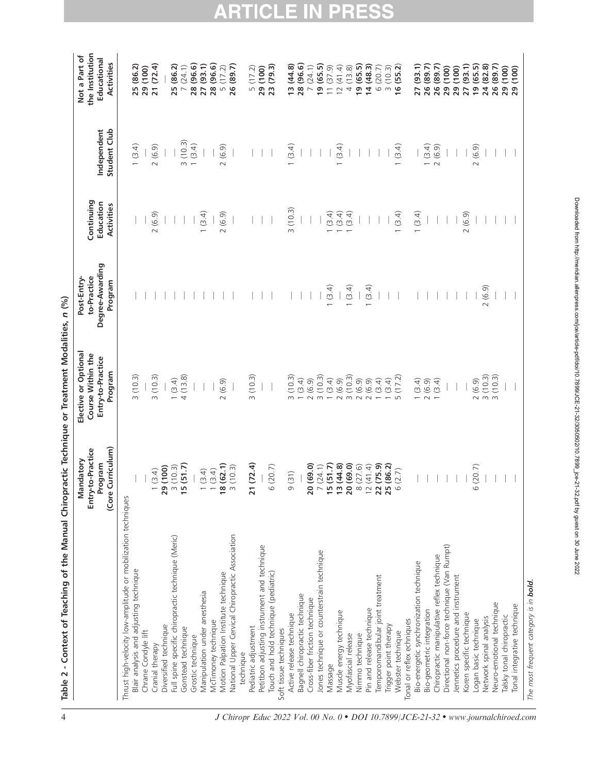| Table 2 - Context of Teaching of the Manual Chiropractic Technique or Treatment Modalities, n (%) |                                                                |                                                                           |                                                         |                                       |                             |                                                               |
|---------------------------------------------------------------------------------------------------|----------------------------------------------------------------|---------------------------------------------------------------------------|---------------------------------------------------------|---------------------------------------|-----------------------------|---------------------------------------------------------------|
|                                                                                                   | (Core Curriculum)<br>Entry-to-Practice<br>Mandatory<br>Program | Elective or Optional<br>Course Within the<br>Entry-to-Practice<br>Program | Degree-Awarding<br>to-Practice<br>Post-Entry<br>Program | Continuing<br>Education<br>Activities | Student Club<br>Independent | the Institution<br>Not a Part of<br>Educational<br>Activities |
| Thrust high-velocity low-amplitude or mobilization techniques                                     |                                                                |                                                                           |                                                         |                                       |                             |                                                               |
| Blair analysis and adjusting technique                                                            |                                                                | 3(10.3)                                                                   |                                                         |                                       | (3.4)                       | 25 (86.2)                                                     |
| Chrane Condyle lift                                                                               |                                                                |                                                                           |                                                         |                                       |                             | 29 (100)                                                      |
| Cranial therapy                                                                                   | (3.4)<br>$\overline{\phantom{0}}$                              | (10.3)<br>$\infty$                                                        |                                                         | 2(6.9)                                | (6.9)<br>$\sim$             | 21 (72.4)                                                     |
| Diversified technique                                                                             | (100)<br>29                                                    |                                                                           |                                                         |                                       |                             |                                                               |
| Full spine specific chiropractic technique (Meric)                                                | (10.3)                                                         |                                                                           |                                                         |                                       |                             | (86.2)<br>25                                                  |
| Gonstead technique                                                                                | (51.7)<br>$\frac{1}{2}$                                        | $1 (3.4)$<br>4 (13.8)                                                     |                                                         |                                       | (10.3)<br>$\infty$          | (24.1)<br>$\overline{ }$                                      |
| Grostic technique                                                                                 |                                                                |                                                                           |                                                         |                                       | 1(3.4)                      | (96.6)<br>28                                                  |
| Manipulation under anesthesia                                                                     | (3.4)<br>$\overline{\phantom{0}}$                              |                                                                           |                                                         | (3.4)                                 |                             | (93.1)<br>27                                                  |
| McTimoney technique                                                                               | (3.4)<br>$\overline{\phantom{0}}$                              |                                                                           |                                                         |                                       |                             | 28 (96.6)                                                     |
| Motion Palpation Institute technique                                                              | (62.1)<br>$\frac{8}{2}$                                        | (6.9)<br>$\sim$                                                           |                                                         | 2(6.9)                                | (6.9)<br>$\sim$             | 5(17.2)                                                       |
| National Upper Cervical Chiropractic Association                                                  | (10.3)<br>$\sim$                                               |                                                                           |                                                         |                                       |                             | 26 (89.7)                                                     |
| technique                                                                                         |                                                                |                                                                           |                                                         |                                       |                             |                                                               |
| Pediatric adjustment                                                                              | (72.4)<br>$\overline{21}$                                      | (10.3)<br>$\infty$                                                        |                                                         |                                       |                             | (17.2)<br>$\sqrt{ }$                                          |
| Petitbon adjusting instrument and technique                                                       |                                                                |                                                                           |                                                         |                                       |                             | 29 (100)                                                      |
| Touch and hold technique (pediatric)                                                              | (20.7)<br>$\circ$                                              |                                                                           |                                                         |                                       |                             | 23 (79.3)                                                     |
| Soft tissue techniques                                                                            |                                                                |                                                                           |                                                         |                                       |                             |                                                               |
| Active release technique                                                                          | (31)<br>$\circ$                                                | (10.3)<br>$\infty$                                                        |                                                         | (10.3)<br>$\infty$                    | (3.4)                       | (44.8)<br>$\frac{3}{2}$                                       |
| Bagnell chiropractic technique                                                                    |                                                                | (3.4)                                                                     |                                                         |                                       |                             | 28 (96.6)                                                     |
| Cross-fiber friction technique                                                                    | (69.0)<br>20                                                   | (6.9)<br>$\sim$                                                           |                                                         |                                       |                             | (24.1)<br>$\overline{\phantom{0}}$                            |
| Jones technique or counterstrain technique                                                        | (24.1)<br>$\overline{\phantom{0}}$                             | (10.3)                                                                    |                                                         |                                       |                             | (65.5)<br>$\overline{a}$                                      |
| Massage                                                                                           | (51.7)<br>15                                                   | (3.4)                                                                     | (3.4)                                                   | (3.4)                                 |                             | 11(37.9)                                                      |
| Muscle energy technique                                                                           | (44.8)<br>$\frac{2}{3}$                                        | (6.9)<br>$\sim$                                                           |                                                         | (3.4)                                 | (3.4)                       | (41.4)<br>$\overline{2}$                                      |
| Myofascial release                                                                                | (69.0)<br>$\overline{20}$                                      | 3(10.3)                                                                   | (3.4)                                                   | (3.4)                                 |                             | (13.8)<br>4                                                   |
| Nimmo technique                                                                                   | (27.6)<br>$\infty$                                             | (6.9)                                                                     |                                                         |                                       |                             | (65.5)<br>$\frac{6}{1}$                                       |
| Pin and release technique                                                                         | (41.4)<br>$12$ $\bf 22$                                        | (6.9)<br>$\sim$                                                           | (3.4)                                                   |                                       |                             | (48.3)<br>$\overline{4}$                                      |
| Temporomandibular joint treatment                                                                 | (75.9)                                                         | (3.4)                                                                     |                                                         |                                       |                             | 6(20.7)                                                       |
| Trigger point therapy                                                                             | (86.2)<br>25                                                   | 1(3.4)                                                                    |                                                         |                                       |                             | 3(10.3)                                                       |
| Webster technique                                                                                 | (2.7)<br>$\circ$                                               | (17.2)<br>$\sqrt{ }$                                                      |                                                         | (3.4)                                 | (3.4)                       | 16(55.2)                                                      |
| Tonal or reflex echniques                                                                         |                                                                |                                                                           |                                                         |                                       |                             |                                                               |
| Bio-energetic synchronization technique                                                           |                                                                | (3.4)                                                                     |                                                         | (3.4)                                 |                             | (93.1)<br>27                                                  |
| Bio-geometric integration                                                                         |                                                                | (6.9)<br>$\sim$                                                           |                                                         |                                       | (3.4)                       | (89.7)<br>26                                                  |
| Chiropractic manipulative reflex technique                                                        |                                                                | (3.4)                                                                     |                                                         |                                       | (6.9)<br>$\sim$             | (89.7)<br>26                                                  |
| Directional non-force technique (Van Rumpt)                                                       |                                                                |                                                                           |                                                         |                                       |                             | (100)<br>29                                                   |
| Jennetics procedure and instrument                                                                |                                                                |                                                                           |                                                         |                                       |                             | (100)<br>29                                                   |
| Koren specific technique                                                                          |                                                                |                                                                           |                                                         | 2(6.9)                                |                             | (93.1)<br>27                                                  |
| Logan basic technique                                                                             | (20.7)<br>$\circ$                                              | (6.9)<br>$\sim$                                                           |                                                         |                                       | (6.9)<br>$\sim$             | (65.5)<br>$\frac{6}{1}$                                       |
| Network spinal analysis                                                                           |                                                                | 3(10.3)                                                                   | 2(6.9)                                                  |                                       |                             | (82.8)<br>24                                                  |
| Neuro-emotional technique                                                                         |                                                                | 3(10.3)                                                                   |                                                         |                                       |                             | 26 (89.7)                                                     |
| Talsky tonal chiropractic                                                                         |                                                                |                                                                           |                                                         |                                       |                             | 29 (100)<br>29 (100)                                          |
| Tonal integrative technique                                                                       |                                                                |                                                                           |                                                         |                                       |                             |                                                               |

The most frequent category is in **bold.** 

The most frequent category is in **bold.** 

**ARTICLE IN PRESS** 

# Downloaded from http://meridian.allenpress.com/jce/article-pdfldoi/10.7899/0E-21-32/30502/10.7899\_jce-21-32.pdf by guest on 30 June 2022 Downloaded from http://meridian.allenpress.com/jce/article-pdf/doi/10.7899/JCE-21-32/3050502/10.7899\_jce-21-32.pdf by guest on 30 June 2022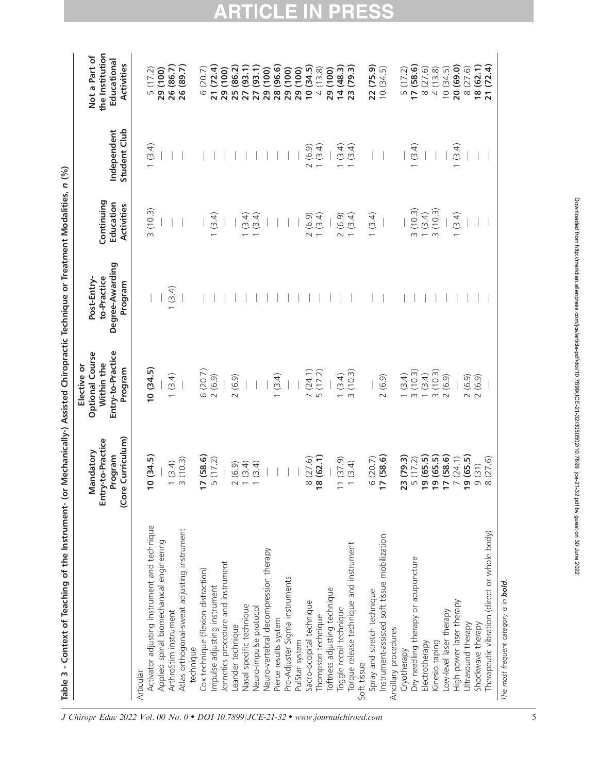| Table 3 - Context of Teaching of the Instrument- (or |                                                                   |                                                                                     | Mechanically-) Assisted Chiropractic Technique or Treatment Modalities, n (%) |                                       |                             |                                                               |
|------------------------------------------------------|-------------------------------------------------------------------|-------------------------------------------------------------------------------------|-------------------------------------------------------------------------------|---------------------------------------|-----------------------------|---------------------------------------------------------------|
|                                                      | Curriculum)<br>Entry-to-Practice<br>Mandatory<br>Program<br>(Core | Entry-to-Practice<br><b>Optional Course</b><br>Within the<br>Elective or<br>Program | Degree-Awarding<br>to-Practice<br>Post-Entry-<br>Program                      | Continuing<br>Education<br>Activities | Student Club<br>Independent | the Institution<br>Not a Part of<br>Educational<br>Activities |
| Articular                                            |                                                                   |                                                                                     |                                                                               |                                       |                             |                                                               |
| Activator adjusting instrument and technique         | 0(34.5)                                                           | 10(34.5)                                                                            |                                                                               | 3(10.3)                               | (3.4)                       | (17.2)<br>L                                                   |
| Applied spinal biomechanical engineering             |                                                                   |                                                                                     |                                                                               |                                       |                             | (100)<br>29                                                   |
| ArthroStim instrument                                |                                                                   | 1(3.4)                                                                              | (3.4)                                                                         |                                       |                             | 26 (86.7                                                      |
| Atlas orthogonal-sweat adjusting instrument          | (10.3)<br>$1(3.4)$<br>3(10.3)                                     |                                                                                     |                                                                               |                                       |                             | 26 (89.7)                                                     |
| technique                                            |                                                                   |                                                                                     |                                                                               |                                       |                             |                                                               |
| Cox technique (flexion-distraction)                  | $\frac{17}{5}$ (58.6)<br>5 (17.2)                                 | 6 (20.7)                                                                            |                                                                               |                                       |                             | (20.7)<br>$\circ$                                             |
| Impulse adjusting instrument                         |                                                                   | 2(6.9)                                                                              |                                                                               | (3.4)                                 |                             | (72.4)<br>$\overline{21}$                                     |
| lennetics procedure and instrument                   |                                                                   |                                                                                     |                                                                               |                                       |                             | (100)<br>29                                                   |
| Leander technique                                    | (6.9)<br>$\sim$                                                   | 2(6.9)                                                                              |                                                                               |                                       |                             | (86.2)<br>25                                                  |
| Nasal specific technique                             | (3.4)                                                             |                                                                                     |                                                                               | (3.4)                                 |                             | (93.1)<br>27                                                  |
| Neuro-impulse protocol                               | (3.4)                                                             |                                                                                     |                                                                               | (3.4)                                 |                             | (93.1)<br>27                                                  |
| Neuro-vertebral decompression therapy                |                                                                   |                                                                                     |                                                                               |                                       |                             | (100)<br>29                                                   |
| Pierce results system                                |                                                                   | (3.4)                                                                               |                                                                               |                                       |                             | (96.6)<br>28                                                  |
| Pro-Adjuster Sigma instruments                       |                                                                   |                                                                                     |                                                                               |                                       |                             | (100)<br>29                                                   |
| PulStar system                                       |                                                                   |                                                                                     |                                                                               |                                       |                             | (100)<br>29                                                   |
| Sacro-occipital technique                            | (27.6)<br>$\infty$                                                | $7(24.1)$<br>5(17.2)                                                                |                                                                               | (6.9)<br>$\sim$                       | (6.9)<br>$\sim$             | (34.5)<br>$\overline{0}$                                      |
| Thompson technique                                   | 8(62.1)                                                           |                                                                                     |                                                                               | (3.4)                                 | (3.4)                       | (13.8)<br>$\overline{4}$                                      |
| Toftness adjusting technique                         |                                                                   |                                                                                     |                                                                               |                                       |                             | (100)<br>$29$ $4$                                             |
| Toggle recoil technique                              | (37.9)<br>$\overline{\phantom{0}}$                                | (3.4)                                                                               |                                                                               | 2(6.9)                                | (3.4)                       | (48.3)                                                        |
| Torque release technique and instrument              | (3.4)                                                             | (10.3)<br>$\infty$                                                                  |                                                                               | (3.4)                                 | (3.4)                       | (79.3)<br>23                                                  |
| Soft tissue                                          |                                                                   |                                                                                     |                                                                               |                                       |                             |                                                               |
| Spray and stretch technique                          | $6(20.7)$<br>17 (58.6)                                            |                                                                                     |                                                                               | (3.4)                                 |                             | (75.9)<br>22 (75.9)<br>10 (34.5)                              |
| Instrument-assisted soft tissue mobilization         | (58.6)                                                            | 2(6.9)                                                                              |                                                                               |                                       |                             |                                                               |
| Ancillary procedures                                 |                                                                   |                                                                                     |                                                                               |                                       |                             |                                                               |
| Cryotherapy                                          | (79.3)<br>w                                                       | (3.4)                                                                               |                                                                               |                                       |                             |                                                               |
| Dry needling therapy or acupuncture                  | (17.2)<br>$\sqrt{ }$                                              | (10.3)<br>$\infty$                                                                  |                                                                               | (10.3)<br>$\infty$                    | (3.4)                       | $\frac{5(17.2)}{17(58.6)}$                                    |
| Electrotherapy                                       | $(65.5)$<br>$(65.5)$<br>$(58.6)$<br>ഐ                             | (3.4)                                                                               |                                                                               | (3.4)                                 |                             | 8(27.6)                                                       |
| Kinesio taping                                       | $\circ$ $\sim$                                                    | (10.3)<br>$\infty$                                                                  |                                                                               | (10.3)<br>$\infty$                    |                             | (13.8)<br>$\overline{4}$                                      |
| Low-level laser therapy                              |                                                                   | (6.9)                                                                               |                                                                               |                                       |                             | 10(34.5)                                                      |
| High-power laser therapy                             | (24.1)<br>$\overline{\phantom{0}}$                                |                                                                                     |                                                                               | (3.4)                                 | (3.4)                       | 20 (69.0)                                                     |
| Ultrasound therapy                                   | (65.5)<br>ഐ                                                       |                                                                                     |                                                                               |                                       |                             | 8 (27.6)                                                      |
| Shockwave therapy                                    | (31)<br>$\circ$ $\circ$                                           | $2(6.9)$<br>$2(6.9)$                                                                |                                                                               |                                       |                             | 18 (62.1)                                                     |
| Therapeutic vibration (direct or whole body)         | (27.6)                                                            |                                                                                     |                                                                               |                                       |                             | 21 (72.4)                                                     |

**ARTICLE IN PRESS** 

The most frequent category is in **bold.** 

The most frequent category is in **bold.**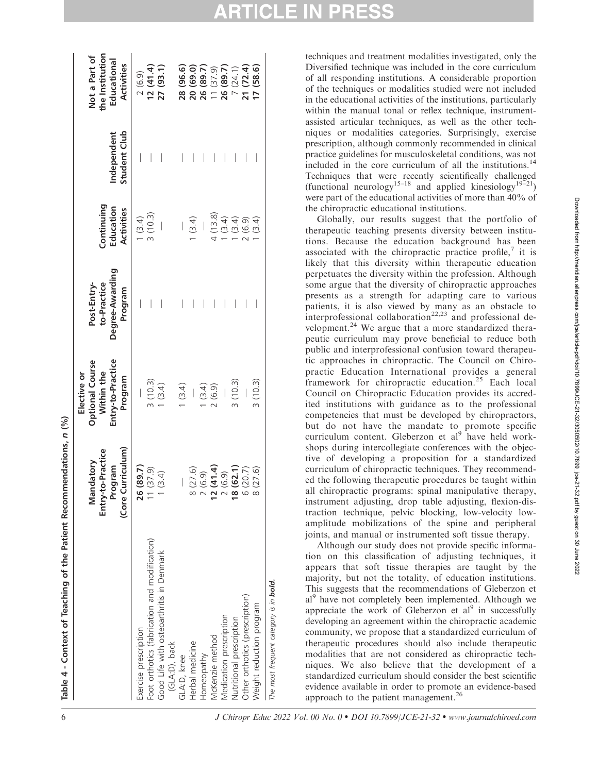|                                                                        | (Core Curriculum)<br>o-Practice<br>Mandatory<br>Program<br>Entry-t | Entry-to-Practice<br><b>Optional Course</b><br>Within the<br>Elective or<br>Program | Degree-Awarding<br>Post-Entry-<br>to-Practice<br>Program | Continuing<br>Education<br>Activities | Student Club<br>Independent | the Institution<br>Not a Part of<br>Educational<br><b>Activities</b> |
|------------------------------------------------------------------------|--------------------------------------------------------------------|-------------------------------------------------------------------------------------|----------------------------------------------------------|---------------------------------------|-----------------------------|----------------------------------------------------------------------|
| Foot orthotics (fabrication and modification)<br>Exercise prescription | 26 (89.7)<br>(37.9)                                                | 3(10.3)                                                                             |                                                          | 3(10.3)<br>(3.4)                      |                             | 12(41.4)<br>2(6.9)                                                   |
| Good Life with osteoarthritis in Denmark<br>(GLA:D), back              | (3.4)                                                              | 1(3.4)                                                                              |                                                          |                                       |                             | 27 (93.1)                                                            |
| GLA:D, knee                                                            |                                                                    | 1(3.4)                                                                              |                                                          |                                       |                             | 28 (96.6)                                                            |
| Herbal medicine                                                        | (27.6)                                                             | $\bigg $                                                                            |                                                          | (3.4)                                 |                             | 20 (69.0)                                                            |
| Homeopathy                                                             | (6.9)<br>$\sim$                                                    | (3.4)                                                                               |                                                          |                                       |                             | 26 (89.7)                                                            |
| McKenzie method                                                        | (41.4)<br>$\frac{1}{2}$                                            | 2(6.9)                                                                              |                                                          | 4(13.8)                               |                             | 11(37.9)                                                             |
| Medication prescription                                                | (6.9)<br>$\sim$                                                    |                                                                                     |                                                          | (3.4)                                 |                             | 26 (89.7)                                                            |
| Nutritional prescription                                               | (62.1)<br>$\frac{8}{10}$                                           | 3(10.3)                                                                             |                                                          | (3.4)                                 |                             | 7(24.1)                                                              |
| Other orthotics (prescription)                                         | (20.7)<br>6                                                        |                                                                                     |                                                          | (6.9)                                 |                             | 21 (72.4)                                                            |
| Weight reduction program                                               | (27.6)                                                             | 3(10.3)                                                                             |                                                          | (3.4)                                 |                             | 7(58.6)                                                              |
| The most frequent category is in <b>bold.</b>                          |                                                                    |                                                                                     |                                                          |                                       |                             |                                                                      |

techniques and treatment modalities investigated, only the Diversified technique was included in the core curriculum of all responding institutions. A considerable proportion of the techniques or modalities studied were not included in the educational activities of the institutions, particularly within the manual tonal or reflex technique, instrumentassisted articular techniques, as well as the other techniques or modalities categories. Surprisingly, exercise prescription, although commonly recommended in clinical practice guidelines for musculoskeletal conditions, was not included in the core curriculum of all the institutions.<sup>1</sup> Techniques that were recently scientifically challenged (functional neurology<sup>15–18</sup> and applied kinesiology<sup>19–21</sup>) were part of the educational activities of more than 40% of the chiropractic educational institutions.

Globally, our results suggest that the portfolio of therapeutic teaching presents diversity between institutions. Because the education background has been associated with the chiropractic practice profile,<sup>7</sup> it is likely that this diversity within therapeutic education perpetuates the diversity within the profession. Although some argue that the diversity of chiropractic approaches presents as a strength for adapting care to various patients, it is also viewed by many as an obstacle to interprofessional collaboration<sup>22,23</sup> and professional development. $^{24}$  We argue that a more standardized therapeutic curriculum may prove beneficial to reduce both public and interprofessional confusion toward therapeutic approaches in chiropractic. The Council on Chiropractic Education International provides a general framework for chiropractic education.<sup>25</sup> Each local Council on Chiropractic Education provides its accredited institutions with guidance as to the professional competencies that must be developed by chiropractors, but do not have the mandate to promote specific curriculum content. Gleberzon et  $al^9$  have held workshops during intercollegiate conferences with the objective of developing a proposition for a standardized curriculum of chiropractic techniques. They recommended the following therapeutic procedures be taught within all chiropractic programs: spinal manipulative therapy, instrument adjusting, drop table adjusting, flexion-distraction technique, pelvic blocking, low-velocity lowamplitude mobilizations of the spine and peripheral joints, and manual or instrumented soft tissue therapy.

Although our study does not provide specific information on this classification of adjusting techniques, it appears that soft tissue therapies are taught by the majority, but not the totality, of education institutions. This suggests that the recommendations of Gleberzon et al<sup>9</sup> have not completely been implemented. Although we appreciate the work of Gleberzon et  $al^9$  in successfully developing an agreement within the chiropractic academic community, we propose that a standardized curriculum of therapeutic procedures should also include therapeutic modalities that are not considered as chiropractic techniques. We also believe that the development of a standardized curriculum should consider the best scientific evidence available in order to promote an evidence-based approach to the patient management.<sup>26</sup>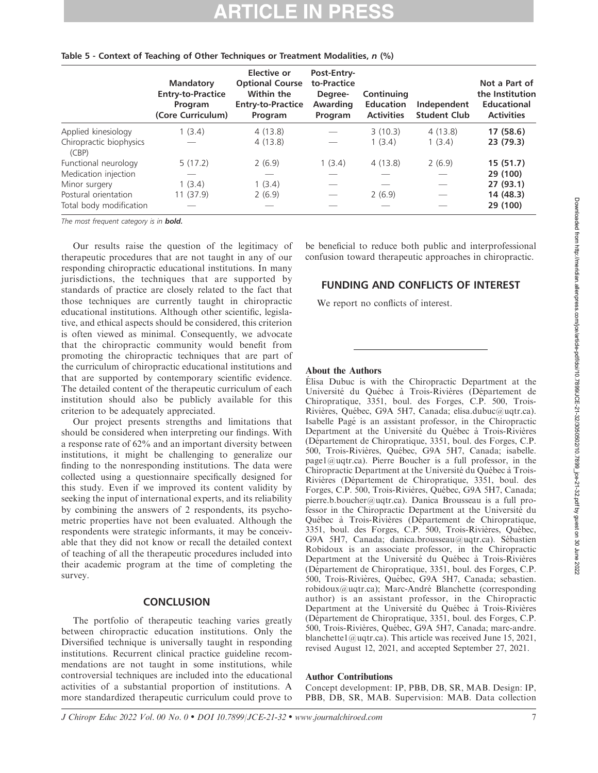|                                  | <b>Mandatory</b><br><b>Entry-to-Practice</b><br>Program<br>(Core Curriculum) | Elective or<br><b>Optional Course</b><br>Within the<br><b>Entry-to-Practice</b><br>Program | Post-Entry-<br>to-Practice<br>Degree-<br>Awarding<br>Program | Continuing<br><b>Education</b><br><b>Activities</b> | Independent<br><b>Student Club</b> | Not a Part of<br>the Institution<br>Educational<br><b>Activities</b> |
|----------------------------------|------------------------------------------------------------------------------|--------------------------------------------------------------------------------------------|--------------------------------------------------------------|-----------------------------------------------------|------------------------------------|----------------------------------------------------------------------|
| Applied kinesiology              | 1(3.4)                                                                       | 4(13.8)                                                                                    |                                                              | 3(10.3)                                             | 4(13.8)                            | 17(58.6)                                                             |
| Chiropractic biophysics<br>(CBP) |                                                                              | 4(13.8)                                                                                    |                                                              | 1(3.4)                                              | 1(3.4)                             | 23 (79.3)                                                            |
| Functional neurology             | 5(17.2)                                                                      | 2(6.9)                                                                                     | 1(3.4)                                                       | 4(13.8)                                             | 2(6.9)                             | 15(51.7)                                                             |
| Medication injection             |                                                                              |                                                                                            |                                                              |                                                     |                                    | 29 (100)                                                             |
| Minor surgery                    | 1(3.4)                                                                       | 1(3.4)                                                                                     |                                                              |                                                     |                                    | 27(93.1)                                                             |
| Postural orientation             | 11 (37.9)                                                                    | 2(6.9)                                                                                     |                                                              | 2(6.9)                                              |                                    | 14 (48.3)                                                            |
| Total body modification          |                                                                              |                                                                                            |                                                              |                                                     |                                    | 29 (100)                                                             |

### Table 5 - Context of Teaching of Other Techniques or Treatment Modalities, n (%)

The most frequent category is in bold.

Our results raise the question of the legitimacy of therapeutic procedures that are not taught in any of our responding chiropractic educational institutions. In many jurisdictions, the techniques that are supported by standards of practice are closely related to the fact that those techniques are currently taught in chiropractic educational institutions. Although other scientific, legislative, and ethical aspects should be considered, this criterion is often viewed as minimal. Consequently, we advocate that the chiropractic community would benefit from promoting the chiropractic techniques that are part of the curriculum of chiropractic educational institutions and that are supported by contemporary scientific evidence. The detailed content of the therapeutic curriculum of each institution should also be publicly available for this criterion to be adequately appreciated.

Our project presents strengths and limitations that should be considered when interpreting our findings. With a response rate of 62% and an important diversity between institutions, it might be challenging to generalize our finding to the nonresponding institutions. The data were collected using a questionnaire specifically designed for this study. Even if we improved its content validity by seeking the input of international experts, and its reliability by combining the answers of 2 respondents, its psychometric properties have not been evaluated. Although the respondents were strategic informants, it may be conceivable that they did not know or recall the detailed context of teaching of all the therapeutic procedures included into their academic program at the time of completing the survey.

### **CONCLUSION**

The portfolio of therapeutic teaching varies greatly between chiropractic education institutions. Only the Diversified technique is universally taught in responding institutions. Recurrent clinical practice guideline recommendations are not taught in some institutions, while controversial techniques are included into the educational activities of a substantial proportion of institutions. A more standardized therapeutic curriculum could prove to

be beneficial to reduce both public and interprofessional confusion toward therapeutic approaches in chiropractic.

### FUNDING AND CONFLICTS OF INTEREST

We report no conflicts of interest.

### About the Authors

Elisa Dubuc is with the Chiropractic Department at the Université du Québec à Trois-Rivières (Département de Chiropratique, 3351, boul. des Forges, C.P. 500, Trois-Rivières, Québec, G9A 5H7, Canada; elisa.dubuc@uqtr.ca). Isabelle Page´ is an assistant professor, in the Chiropractic Department at the Université du Québec à Trois-Rivières (De´partement de Chiropratique, 3351, boul. des Forges, C.P. 500, Trois-Rivières, Québec, G9A 5H7, Canada; isabelle. page1@uqtr.ca). Pierre Boucher is a full professor, in the Chiropractic Department at the Université du Québec à Trois-Rivières (Département de Chiropratique, 3351, boul. des Forges, C.P. 500, Trois-Rivières, Québec, G9A 5H7, Canada; pierre.b.boucher@uqtr.ca). Danica Brousseau is a full professor in the Chiropractic Department at the Université du Québec à Trois-Rivières (Département de Chiropratique, 3351, boul. des Forges, C.P. 500, Trois-Rivières, Québec, G9A 5H7, Canada; danica.brousseau@uqtr.ca). Sébastien Robidoux is an associate professor, in the Chiropractic Department at the Université du Québec à Trois-Rivières (Département de Chiropratique, 3351, boul. des Forges, C.P. 500, Trois-Rivières, Québec, G9A 5H7, Canada; sebastien. robidoux@uqtr.ca); Marc-André Blanchette (corresponding author) is an assistant professor, in the Chiropractic Department at the Université du Québec à Trois-Rivières (Département de Chiropratique, 3351, boul. des Forges, C.P. 500, Trois-Rivières, Québec, G9A 5H7, Canada; marc-andre. blanchette1@uqtr.ca). This article was received June 15, 2021, revised August 12, 2021, and accepted September 27, 2021.

### Author Contributions

Concept development: IP, PBB, DB, SR, MAB. Design: IP, PBB, DB, SR, MAB. Supervision: MAB. Data collection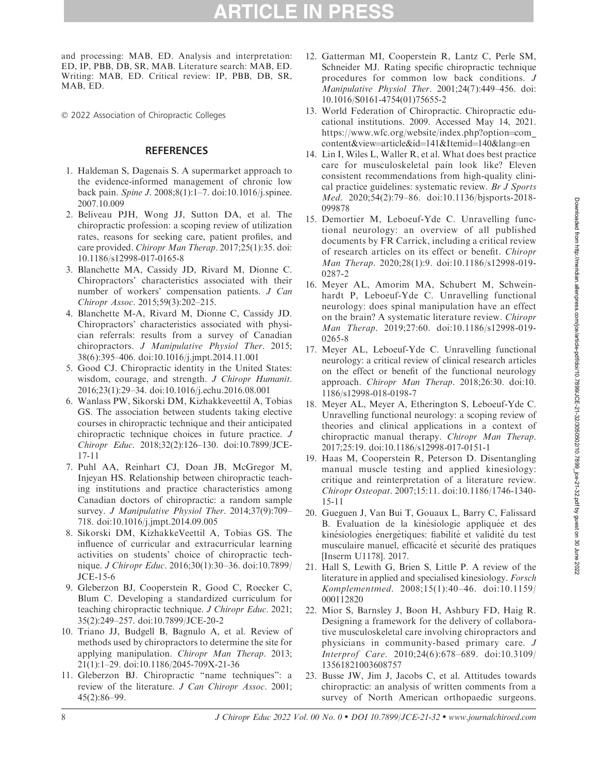and processing: MAB, ED. Analysis and interpretation: ED, IP, PBB, DB, SR, MAB. Literature search: MAB, ED. Writing: MAB, ED. Critical review: IP, PBB, DB, SR, MAB, ED.

- 2022 Association of Chiropractic Colleges

### **REFERENCES**

- 1. Haldeman S, Dagenais S. A supermarket approach to the evidence-informed management of chronic low back pain. Spine J. 2008;8(1):1–7. doi:10.1016/j.spinee. 2007.10.009
- 2. Beliveau PJH, Wong JJ, Sutton DA, et al. The chiropractic profession: a scoping review of utilization rates, reasons for seeking care, patient profiles, and care provided. Chiropr Man Therap. 2017;25(1):35. doi: 10.1186/s12998-017-0165-8
- 3. Blanchette MA, Cassidy JD, Rivard M, Dionne C. Chiropractors' characteristics associated with their number of workers' compensation patients. J Can Chiropr Assoc. 2015;59(3):202–215.
- 4. Blanchette M-A, Rivard M, Dionne C, Cassidy JD. Chiropractors' characteristics associated with physician referrals: results from a survey of Canadian chiropractors. J Manipulative Physiol Ther. 2015; 38(6):395–406. doi:10.1016/j.jmpt.2014.11.001
- 5. Good CJ. Chiropractic identity in the United States: wisdom, courage, and strength. J Chiropr Humanit. 2016;23(1):29–34. doi:10.1016/j.echu.2016.08.001
- 6. Wanlass PW, Sikorski DM, Kizhakkeveettil A, Tobias GS. The association between students taking elective courses in chiropractic technique and their anticipated chiropractic technique choices in future practice. J Chiropr Educ. 2018;32(2):126–130. doi:10.7899/JCE-17-11
- 7. Puhl AA, Reinhart CJ, Doan JB, McGregor M, Injeyan HS. Relationship between chiropractic teaching institutions and practice characteristics among Canadian doctors of chiropractic: a random sample survey. J Manipulative Physiol Ther. 2014;37(9):709-718. doi:10.1016/j.jmpt.2014.09.005
- 8. Sikorski DM, KizhakkeVeettil A, Tobias GS. The influence of curricular and extracurricular learning activities on students' choice of chiropractic technique. J Chiropr Educ. 2016;30(1):30–36. doi:10.7899/ JCE-15-6
- 9. Gleberzon BJ, Cooperstein R, Good C, Roecker C, Blum C. Developing a standardized curriculum for teaching chiropractic technique. J Chiropr Educ. 2021; 35(2):249–257. doi:10.7899/JCE-20-2
- 10. Triano JJ, Budgell B, Bagnulo A, et al. Review of methods used by chiropractors to determine the site for applying manipulation. Chiropr Man Therap. 2013; 21(1):1–29. doi:10.1186/2045-709X-21-36
- 11. Gleberzon BJ. Chiropractic ''name techniques'': a review of the literature. J Can Chiropr Assoc. 2001; 45(2):86–99.
- 12. Gatterman MI, Cooperstein R, Lantz C, Perle SM, Schneider MJ. Rating specific chiropractic technique procedures for common low back conditions. J Manipulative Physiol Ther. 2001;24(7):449–456. doi: 10.1016/S0161-4754(01)75655-2
- 13. World Federation of Chiropractic. Chiropractic educational institutions. 2009. Accessed May 14, 2021. https://www.wfc.org/website/index.php?option=com content&view=article&id=141&Itemid=140&lang=en
- 14. Lin I, Wiles L, Waller R, et al. What does best practice care for musculoskeletal pain look like? Eleven consistent recommendations from high-quality clinical practice guidelines: systematic review. Br J Sports Med. 2020;54(2):79–86. doi:10.1136/bjsports-2018- 099878
- 15. Demortier M, Leboeuf-Yde C. Unravelling functional neurology: an overview of all published documents by FR Carrick, including a critical review of research articles on its effect or benefit. Chiropr Man Therap. 2020;28(1):9. doi:10.1186/s12998-019- 0287-2
- 16. Meyer AL, Amorim MA, Schubert M, Schweinhardt P, Leboeuf-Yde C. Unravelling functional neurology: does spinal manipulation have an effect on the brain? A systematic literature review. Chiropr Man Therap. 2019;27:60. doi:10.1186/s12998-019- 0265-8
- 17. Meyer AL, Leboeuf-Yde C. Unravelling functional neurology: a critical review of clinical research articles on the effect or benefit of the functional neurology approach. Chiropr Man Therap. 2018;26:30. doi:10. 1186/s12998-018-0198-7
- 18. Meyer AL, Meyer A, Etherington S, Leboeuf-Yde C. Unravelling functional neurology: a scoping review of theories and clinical applications in a context of chiropractic manual therapy. Chiropr Man Therap. 2017;25:19. doi:10.1186/s12998-017-0151-1
- 19. Haas M, Cooperstein R, Peterson D. Disentangling manual muscle testing and applied kinesiology: critique and reinterpretation of a literature review. Chiropr Osteopat. 2007;15:11. doi:10.1186/1746-1340- 15-11
- 20. Gueguen J, Van Bui T, Gouaux L, Barry C, Falissard B. Evaluation de la kinésiologie appliquée et des kinésiologies énergétiques: fiabilité et validité du test musculaire manuel, efficacité et sécurité des pratiques [Inserm U1178]. 2017.
- 21. Hall S, Lewith G, Brien S, Little P. A review of the literature in applied and specialised kinesiology. Forsch Komplementmed. 2008;15(1):40–46. doi:10.1159/ 000112820
- 22. Mior S, Barnsley J, Boon H, Ashbury FD, Haig R. Designing a framework for the delivery of collaborative musculoskeletal care involving chiropractors and physicians in community-based primary care. J Interprof Care. 2010;24(6):678–689. doi:10.3109/ 13561821003608757
- 23. Busse JW, Jim J, Jacobs C, et al. Attitudes towards chiropractic: an analysis of written comments from a survey of North American orthopaedic surgeons.